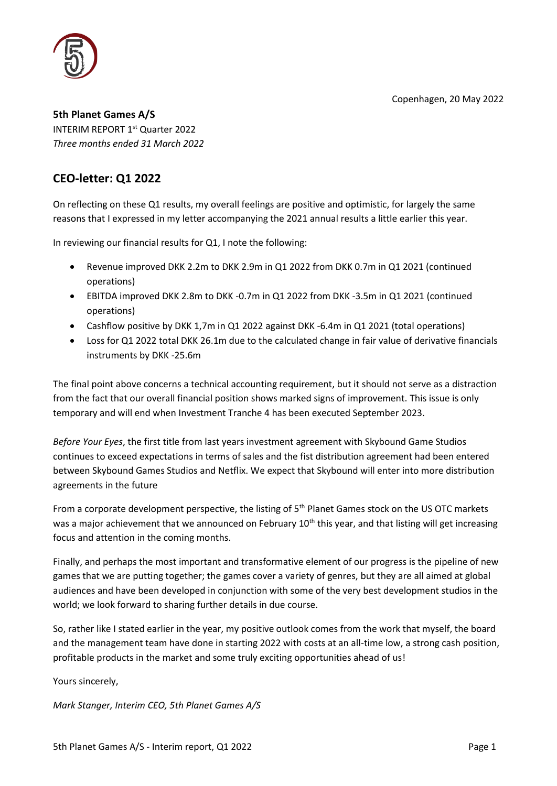Copenhagen, 20 May 2022



**5th Planet Games A/S** INTERIM REPORT 1<sup>st</sup> Quarter 2022 *Three months ended 31 March 2022*

# **CEO-letter: Q1 2022**

On reflecting on these Q1 results, my overall feelings are positive and optimistic, for largely the same reasons that I expressed in my letter accompanying the 2021 annual results a little earlier this year.

In reviewing our financial results for Q1, I note the following:

- Revenue improved DKK 2.2m to DKK 2.9m in Q1 2022 from DKK 0.7m in Q1 2021 (continued operations)
- EBITDA improved DKK 2.8m to DKK -0.7m in Q1 2022 from DKK -3.5m in Q1 2021 (continued operations)
- Cashflow positive by DKK 1,7m in Q1 2022 against DKK -6.4m in Q1 2021 (total operations)
- Loss for Q1 2022 total DKK 26.1m due to the calculated change in fair value of derivative financials instruments by DKK -25.6m

The final point above concerns a technical accounting requirement, but it should not serve as a distraction from the fact that our overall financial position shows marked signs of improvement. This issue is only temporary and will end when Investment Tranche 4 has been executed September 2023.

*Before Your Eyes*, the first title from last years investment agreement with Skybound Game Studios continues to exceed expectations in terms of sales and the fist distribution agreement had been entered between Skybound Games Studios and Netflix. We expect that Skybound will enter into more distribution agreements in the future

From a corporate development perspective, the listing of 5<sup>th</sup> Planet Games stock on the US OTC markets was a major achievement that we announced on February 10<sup>th</sup> this year, and that listing will get increasing focus and attention in the coming months.

Finally, and perhaps the most important and transformative element of our progress is the pipeline of new games that we are putting together; the games cover a variety of genres, but they are all aimed at global audiences and have been developed in conjunction with some of the very best development studios in the world; we look forward to sharing further details in due course.

So, rather like I stated earlier in the year, my positive outlook comes from the work that myself, the board and the management team have done in starting 2022 with costs at an all-time low, a strong cash position, profitable products in the market and some truly exciting opportunities ahead of us!

Yours sincerely,

*Mark Stanger, Interim CEO, 5th Planet Games A/S*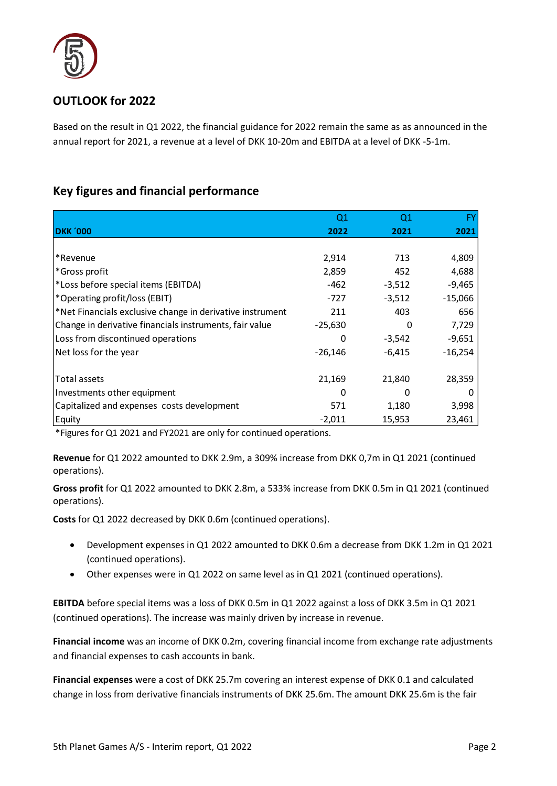

# **OUTLOOK for 2022**

Based on the result in Q1 2022, the financial guidance for 2022 remain the same as as announced in the annual report for 2021, a revenue at a level of DKK 10-20m and EBITDA at a level of DKK -5-1m.

## **Key figures and financial performance**

|                                                           | Q1        | Q1       |           |
|-----------------------------------------------------------|-----------|----------|-----------|
| <b>DKK '000</b>                                           | 2022      | 2021     | 2021      |
|                                                           |           |          |           |
| *Revenue                                                  | 2,914     | 713      | 4,809     |
| *Gross profit                                             | 2,859     | 452      | 4,688     |
| *Loss before special items (EBITDA)                       | $-462$    | $-3,512$ | $-9,465$  |
| *Operating profit/loss (EBIT)                             | $-727$    | $-3,512$ | $-15,066$ |
| *Net Financials exclusive change in derivative instrument | 211       | 403      | 656       |
| Change in derivative financials instruments, fair value   | $-25,630$ | 0        | 7,729     |
| Loss from discontinued operations                         | O         | $-3,542$ | $-9,651$  |
| Net loss for the year                                     | $-26,146$ | $-6,415$ | $-16,254$ |
|                                                           |           |          |           |
| Total assets                                              | 21,169    | 21,840   | 28,359    |
| Investments other equipment                               | 0         | 0        |           |
| Capitalized and expenses costs development                | 571       | 1,180    | 3,998     |
| Equity                                                    | $-2,011$  | 15,953   | 23,461    |

\*Figures for Q1 2021 and FY2021 are only for continued operations.

**Revenue** for Q1 2022 amounted to DKK 2.9m, a 309% increase from DKK 0,7m in Q1 2021 (continued operations).

**Gross profit** for Q1 2022 amounted to DKK 2.8m, a 533% increase from DKK 0.5m in Q1 2021 (continued operations).

**Costs** for Q1 2022 decreased by DKK 0.6m (continued operations).

- Development expenses in Q1 2022 amounted to DKK 0.6m a decrease from DKK 1.2m in Q1 2021 (continued operations).
- Other expenses were in Q1 2022 on same level as in Q1 2021 (continued operations).

**EBITDA** before special items was a loss of DKK 0.5m in Q1 2022 against a loss of DKK 3.5m in Q1 2021 (continued operations). The increase was mainly driven by increase in revenue.

**Financial income** was an income of DKK 0.2m, covering financial income from exchange rate adjustments and financial expenses to cash accounts in bank.

**Financial expenses** were a cost of DKK 25.7m covering an interest expense of DKK 0.1 and calculated change in loss from derivative financials instruments of DKK 25.6m. The amount DKK 25.6m is the fair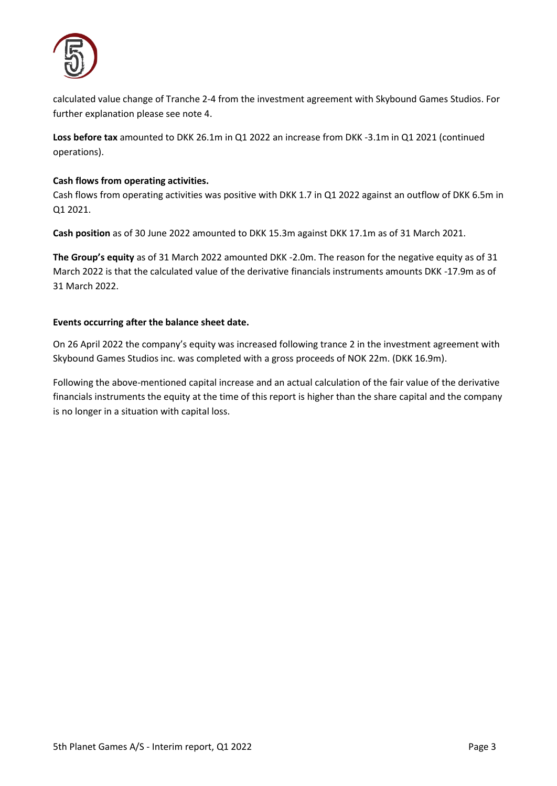

calculated value change of Tranche 2-4 from the investment agreement with Skybound Games Studios. For further explanation please see note 4.

**Loss before tax** amounted to DKK 26.1m in Q1 2022 an increase from DKK -3.1m in Q1 2021 (continued operations).

#### **Cash flows from operating activities.**

Cash flows from operating activities was positive with DKK 1.7 in Q1 2022 against an outflow of DKK 6.5m in Q1 2021.

**Cash position** as of 30 June 2022 amounted to DKK 15.3m against DKK 17.1m as of 31 March 2021.

**The Group's equity** as of 31 March 2022 amounted DKK -2.0m. The reason for the negative equity as of 31 March 2022 is that the calculated value of the derivative financials instruments amounts DKK -17.9m as of 31 March 2022.

### **Events occurring after the balance sheet date.**

On 26 April 2022 the company's equity was increased following trance 2 in the investment agreement with Skybound Games Studios inc. was completed with a gross proceeds of NOK 22m. (DKK 16.9m).

Following the above-mentioned capital increase and an actual calculation of the fair value of the derivative financials instruments the equity at the time of this report is higher than the share capital and the company is no longer in a situation with capital loss.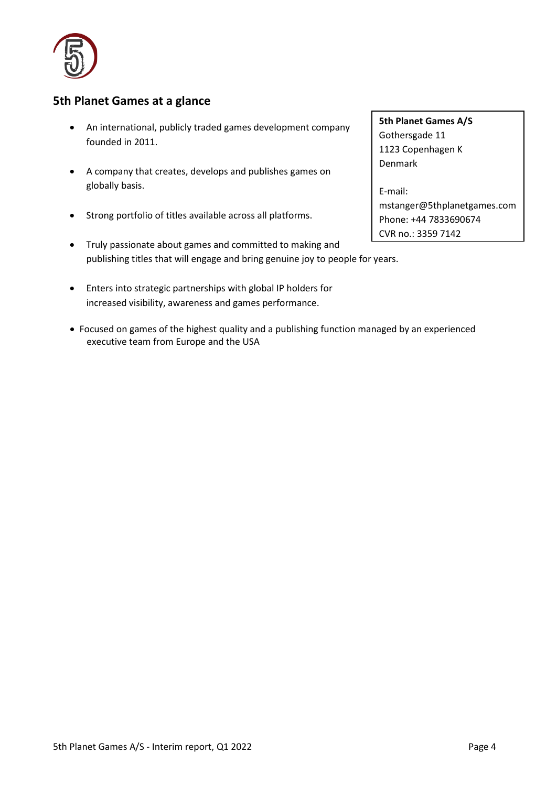

### **5th Planet Games at a glance**

- An international, publicly traded games development company founded in 2011.
- A company that creates, develops and publishes games on globally basis.
- Strong portfolio of titles available across all platforms.
- Truly passionate about games and committed to making and publishing titles that will engage and bring genuine joy to people for years.
- Enters into strategic partnerships with global IP holders for increased visibility, awareness and games performance.
- Focused on games of the highest quality and a publishing function managed by an experienced executive team from Europe and the USA

**5th Planet Games A/S** Gothersgade 11 1123 Copenhagen K Denmark

E-mail: mstanger@5thplanetgames.com Phone: +44 7833690674 CVR no.: 3359 7142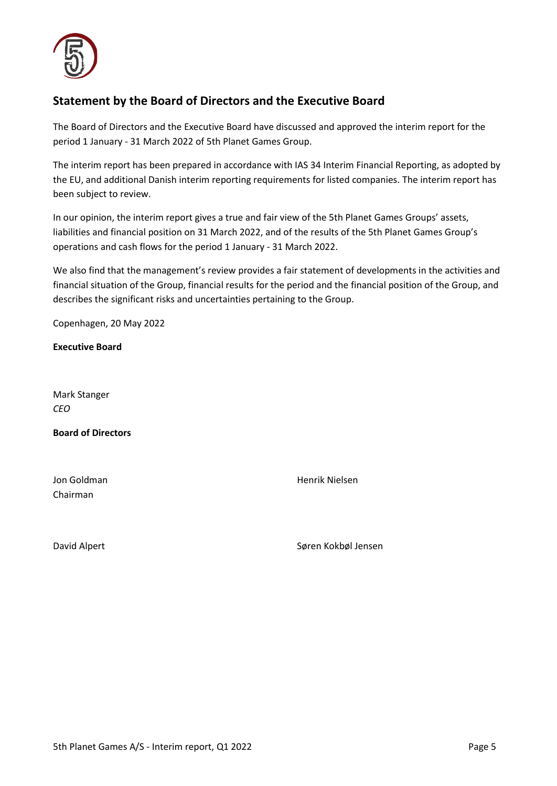

## **Statement by the Board of Directors and the Executive Board**

The Board of Directors and the Executive Board have discussed and approved the interim report for the period 1 January - 31 March 2022 of 5th Planet Games Group.

The interim report has been prepared in accordance with IAS 34 Interim Financial Reporting, as adopted by the EU, and additional Danish interim reporting requirements for listed companies. The interim report has been subject to review.

In our opinion, the interim report gives a true and fair view of the 5th Planet Games Groups' assets, liabilities and financial position on 31 March 2022, and of the results of the 5th Planet Games Group's operations and cash flows for the period 1 January - 31 March 2022.

We also find that the management's review provides a fair statement of developments in the activities and financial situation of the Group, financial results for the period and the financial position of the Group, and describes the significant risks and uncertainties pertaining to the Group.

Copenhagen, 20 May 2022

**Executive Board**

Mark Stanger *CEO* 

**Board of Directors**

Chairman

Jon Goldman Henrik Nielsen

David Alpert North Søren Kokbøl Jensen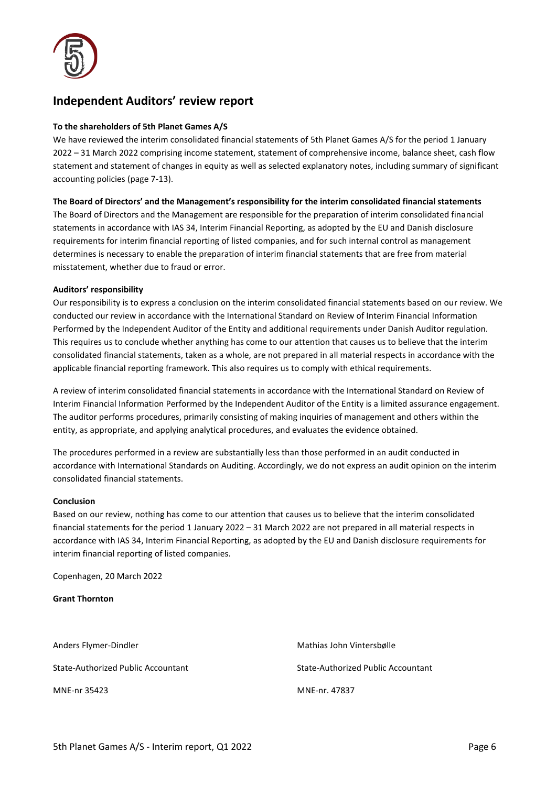

### **Independent Auditors' review report**

#### **To the shareholders of 5th Planet Games A/S**

We have reviewed the interim consolidated financial statements of 5th Planet Games A/S for the period 1 January 2022 – 31 March 2022 comprising income statement, statement of comprehensive income, balance sheet, cash flow statement and statement of changes in equity as well as selected explanatory notes, including summary of significant accounting policies (page 7-13).

#### **The Board of Directors' and the Management's responsibility for the interim consolidated financial statements**

The Board of Directors and the Management are responsible for the preparation of interim consolidated financial statements in accordance with IAS 34, Interim Financial Reporting, as adopted by the EU and Danish disclosure requirements for interim financial reporting of listed companies, and for such internal control as management determines is necessary to enable the preparation of interim financial statements that are free from material misstatement, whether due to fraud or error.

#### **Auditors' responsibility**

Our responsibility is to express a conclusion on the interim consolidated financial statements based on our review. We conducted our review in accordance with the International Standard on Review of Interim Financial Information Performed by the Independent Auditor of the Entity and additional requirements under Danish Auditor regulation. This requires us to conclude whether anything has come to our attention that causes us to believe that the interim consolidated financial statements, taken as a whole, are not prepared in all material respects in accordance with the applicable financial reporting framework. This also requires us to comply with ethical requirements.

A review of interim consolidated financial statements in accordance with the International Standard on Review of Interim Financial Information Performed by the Independent Auditor of the Entity is a limited assurance engagement. The auditor performs procedures, primarily consisting of making inquiries of management and others within the entity, as appropriate, and applying analytical procedures, and evaluates the evidence obtained.

The procedures performed in a review are substantially less than those performed in an audit conducted in accordance with International Standards on Auditing. Accordingly, we do not express an audit opinion on the interim consolidated financial statements.

#### **Conclusion**

Based on our review, nothing has come to our attention that causes us to believe that the interim consolidated financial statements for the period 1 January 2022 – 31 March 2022 are not prepared in all material respects in accordance with IAS 34, Interim Financial Reporting, as adopted by the EU and Danish disclosure requirements for interim financial reporting of listed companies.

Copenhagen, 20 March 2022

#### **Grant Thornton**

Anders Flymer-Dindler Mathias John Vintersbølle State-Authorized Public Accountant State-Authorized Public Accountant MNE-nr 35423 MNE-nr. 47837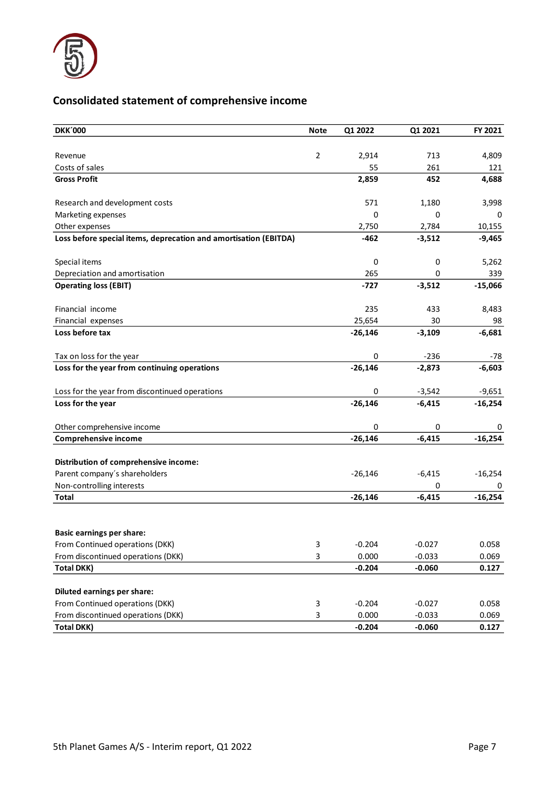

# **Consolidated statement of comprehensive income**

| <b>DKK'000</b>                                                   | <b>Note</b>    | Q1 2022   | Q1 2021       | FY 2021   |
|------------------------------------------------------------------|----------------|-----------|---------------|-----------|
|                                                                  |                |           |               |           |
| Revenue                                                          | $\overline{2}$ | 2,914     | 713           | 4,809     |
| Costs of sales                                                   |                | 55        | 261           | 121       |
| <b>Gross Profit</b>                                              |                | 2,859     | 452           | 4,688     |
| Research and development costs                                   |                | 571       | 1,180         | 3,998     |
| Marketing expenses                                               |                | 0         | 0             | 0         |
| Other expenses                                                   |                | 2,750     | 2,784         | 10,155    |
| Loss before special items, deprecation and amortisation (EBITDA) |                | $-462$    | $-3,512$      | $-9,465$  |
| Special items                                                    |                | 0         | 0             | 5,262     |
| Depreciation and amortisation                                    |                | 265       | 0             | 339       |
| <b>Operating loss (EBIT)</b>                                     |                | $-727$    | $-3,512$      | $-15,066$ |
| Financial income                                                 |                | 235       | 433           | 8,483     |
| Financial expenses                                               |                | 25,654    | 30            | 98        |
| Loss before tax                                                  |                | $-26,146$ | $-3,109$      | $-6,681$  |
| Tax on loss for the year                                         |                | 0         | $-236$        | -78       |
| Loss for the year from continuing operations                     |                | $-26,146$ | $-2,873$      | $-6,603$  |
| Loss for the year from discontinued operations                   |                | 0         | $-3,542$      | $-9,651$  |
| Loss for the year                                                |                | $-26,146$ | $-6,415$      | $-16,254$ |
| Other comprehensive income                                       |                | 0         | 0             | 0         |
| Comprehensive income                                             |                | $-26,146$ | $-6,415$      | $-16,254$ |
|                                                                  |                |           |               |           |
| Distribution of comprehensive income:                            |                |           |               |           |
| Parent company's shareholders<br>Non-controlling interests       |                | $-26,146$ | $-6,415$<br>0 | $-16,254$ |
| <b>Total</b>                                                     |                | $-26,146$ | $-6,415$      | $-16,254$ |
|                                                                  |                |           |               |           |
| <b>Basic earnings per share:</b>                                 |                |           |               |           |
| From Continued operations (DKK)                                  | 3              | $-0.204$  | $-0.027$      | 0.058     |
| From discontinued operations (DKK)                               | 3              | 0.000     | $-0.033$      | 0.069     |
| <b>Total DKK)</b>                                                |                | $-0.204$  | $-0.060$      | 0.127     |
|                                                                  |                |           |               |           |
| <b>Diluted earnings per share:</b>                               |                |           |               |           |
| From Continued operations (DKK)                                  | 3              | $-0.204$  | $-0.027$      | 0.058     |
| From discontinued operations (DKK)                               | 3              | 0.000     | $-0.033$      | 0.069     |
| <b>Total DKK)</b>                                                |                | $-0.204$  | $-0.060$      | 0.127     |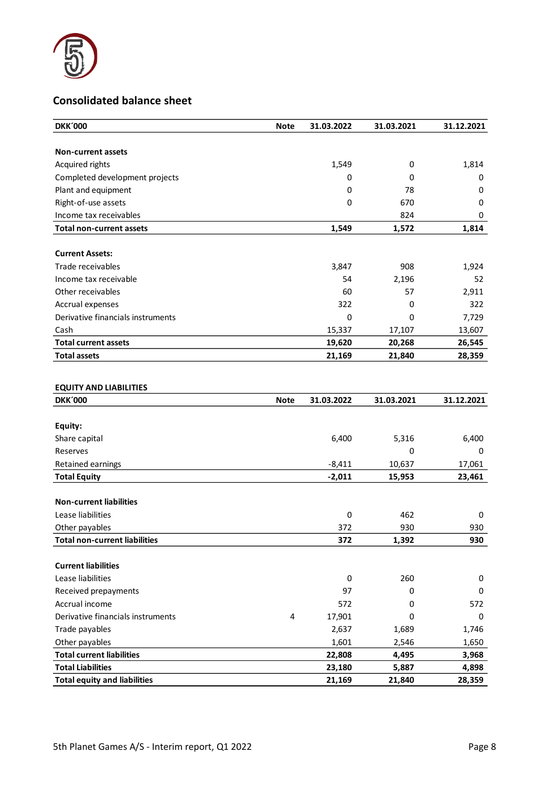

## **Consolidated balance sheet**

| <b>DKK'000</b>                         | <b>Note</b> | 31.03.2022  | 31.03.2021 | 31.12.2021 |
|----------------------------------------|-------------|-------------|------------|------------|
|                                        |             |             |            |            |
| <b>Non-current assets</b>              |             |             |            |            |
| Acquired rights                        |             | 1,549       | 0          | 1,814      |
| Completed development projects         |             | 0           | 0          | 0          |
| Plant and equipment                    |             | 0           | 78         | 0          |
| Right-of-use assets                    |             | 0           | 670        | 0          |
| Income tax receivables                 |             |             | 824        | 0          |
| <b>Total non-current assets</b>        |             | 1,549       | 1,572      | 1,814      |
|                                        |             |             |            |            |
| <b>Current Assets:</b>                 |             |             |            |            |
| Trade receivables                      |             | 3,847       | 908        | 1,924      |
| Income tax receivable                  |             | 54          | 2,196      | 52         |
| Other receivables                      |             | 60          | 57         | 2,911      |
| Accrual expenses                       |             | 322         | 0          | 322        |
| Derivative financials instruments      |             | $\mathbf 0$ | 0          | 7,729      |
| Cash                                   |             | 15,337      | 17,107     | 13,607     |
| <b>Total current assets</b>            |             | 19,620      | 20,268     | 26,545     |
| <b>Total assets</b>                    |             | 21,169      | 21,840     | 28,359     |
| <b>EQUITY AND LIABILITIES</b>          |             |             |            |            |
|                                        |             |             |            |            |
| <b>DKK'000</b>                         | <b>Note</b> | 31.03.2022  | 31.03.2021 | 31.12.2021 |
|                                        |             |             |            |            |
| Equity:                                |             |             |            |            |
| Share capital                          |             | 6,400       | 5,316      | 6,400      |
| Reserves                               |             |             | 0          | 0          |
| Retained earnings                      |             | $-8,411$    | 10,637     | 17,061     |
| <b>Total Equity</b>                    |             | $-2,011$    | 15,953     | 23,461     |
|                                        |             |             |            |            |
| <b>Non-current liabilities</b>         |             |             |            |            |
| Lease liabilities                      |             | 0           | 462        | 0          |
| Other payables                         |             | 372         | 930        | 930        |
| <b>Total non-current liabilities</b>   |             | 372         | 1,392      | 930        |
| <b>Current liabilities</b>             |             |             |            |            |
| Lease liabilities                      |             | 0           | 260        | 0          |
|                                        |             | 97          | 0          | 0          |
| Received prepayments<br>Accrual income |             | 572         | 0          | 572        |
| Derivative financials instruments      | 4           | 17,901      | 0          | 0          |
| Trade payables                         |             | 2,637       | 1,689      | 1,746      |
| Other payables                         |             | 1,601       | 2,546      | 1,650      |

**Total Liabilities 23,180 5,887 4,898 Total equity and liabilities 21,169 21,840 28,359**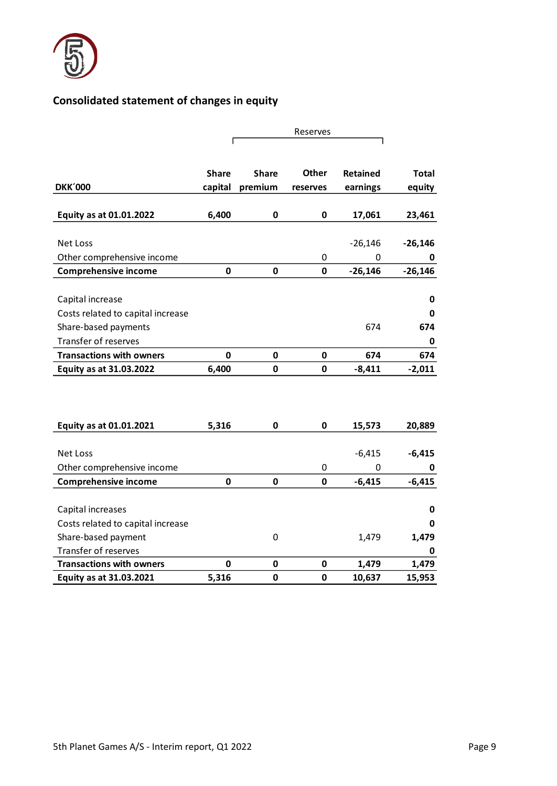

# **Consolidated statement of changes in equity**

|                                   |              |              | Reserves    |                 |              |
|-----------------------------------|--------------|--------------|-------------|-----------------|--------------|
|                                   |              |              |             |                 |              |
|                                   |              |              |             |                 |              |
|                                   | <b>Share</b> | <b>Share</b> | Other       | <b>Retained</b> | <b>Total</b> |
| <b>DKK'000</b>                    | capital      | premium      | reserves    | earnings        | equity       |
|                                   |              |              |             |                 |              |
| Equity as at 01.01.2022           | 6,400        | $\pmb{0}$    | $\mathbf 0$ | 17,061          | 23,461       |
|                                   |              |              |             |                 |              |
| Net Loss                          |              |              |             | $-26,146$       | $-26,146$    |
| Other comprehensive income        |              |              | $\mathbf 0$ | 0               | 0            |
| <b>Comprehensive income</b>       | 0            | $\mathbf 0$  | $\mathbf 0$ | $-26,146$       | $-26,146$    |
|                                   |              |              |             |                 |              |
| Capital increase                  |              |              |             |                 | 0            |
| Costs related to capital increase |              |              |             |                 | 0            |
| Share-based payments              |              |              |             | 674             | 674          |
| Transfer of reserves              |              |              |             |                 | 0            |
| <b>Transactions with owners</b>   | 0            | 0            | $\mathbf 0$ | 674             | 674          |
| Equity as at 31.03.2022           | 6,400        | $\mathbf 0$  | $\mathbf 0$ | $-8,411$        | $-2,011$     |
|                                   |              |              |             |                 |              |
|                                   |              |              |             |                 |              |
|                                   |              |              |             |                 |              |
| Equity as at 01.01.2021           | 5,316        | 0            | $\mathbf 0$ | 15,573          | 20,889       |
|                                   |              |              |             |                 |              |
| <b>Net Loss</b>                   |              |              |             | $-6,415$        | $-6,415$     |
| Other comprehensive income        |              |              | $\mathbf 0$ | 0               | 0            |
| <b>Comprehensive income</b>       | $\mathbf{0}$ | $\mathbf 0$  | $\mathbf 0$ | $-6,415$        | $-6,415$     |
|                                   |              |              |             |                 |              |
| Capital increases                 |              |              |             |                 | 0            |
| Costs related to capital increase |              |              |             |                 | 0            |
| Share-based payment               |              | 0            |             | 1,479           | 1,479        |
| Transfer of reserves              |              |              |             |                 | 0            |
| <b>Transactions with owners</b>   | 0            | $\pmb{0}$    | 0           | 1,479           | 1,479        |
| Equity as at 31.03.2021           | 5,316        | 0            | 0           | 10,637          | 15,953       |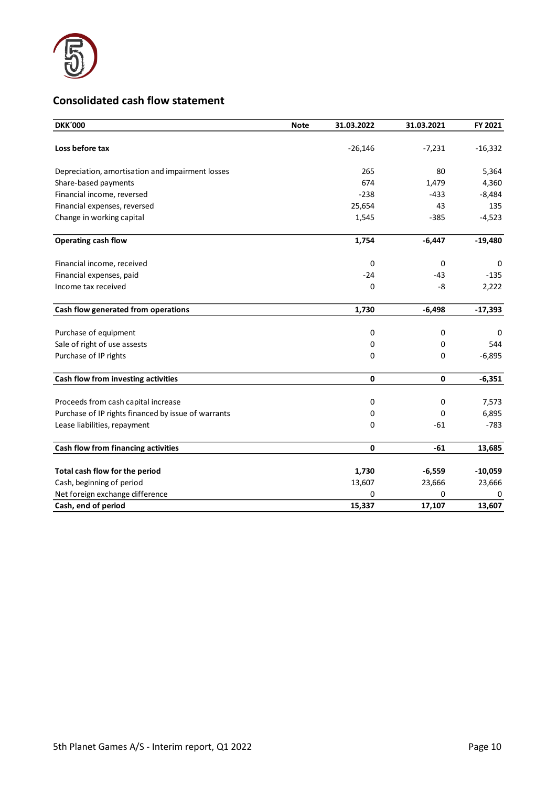

# **Consolidated cash flow statement**

| <b>DKK'000</b>                                      | <b>Note</b> | 31.03.2022  | 31.03.2021 | FY 2021   |
|-----------------------------------------------------|-------------|-------------|------------|-----------|
| Loss before tax                                     |             | $-26,146$   | $-7,231$   | $-16,332$ |
| Depreciation, amortisation and impairment losses    |             | 265         | 80         | 5,364     |
| Share-based payments                                |             | 674         | 1,479      | 4,360     |
| Financial income, reversed                          |             | $-238$      | $-433$     | $-8,484$  |
| Financial expenses, reversed                        |             | 25,654      | 43         | 135       |
| Change in working capital                           |             | 1,545       | $-385$     | $-4,523$  |
| Operating cash flow                                 |             | 1,754       | $-6,447$   | $-19,480$ |
| Financial income, received                          |             | 0           | 0          | 0         |
| Financial expenses, paid                            |             | $-24$       | $-43$      | $-135$    |
| Income tax received                                 |             | 0           | -8         | 2,222     |
| Cash flow generated from operations                 |             | 1,730       | $-6,498$   | $-17,393$ |
| Purchase of equipment                               |             | 0           | 0          | 0         |
| Sale of right of use assests                        |             | 0           | 0          | 544       |
| Purchase of IP rights                               |             | 0           | $\Omega$   | $-6,895$  |
| Cash flow from investing activities                 |             | $\mathbf 0$ | 0          | $-6,351$  |
| Proceeds from cash capital increase                 |             | 0           | 0          | 7,573     |
| Purchase of IP rights financed by issue of warrants |             | 0           | $\Omega$   | 6,895     |
| Lease liabilities, repayment                        |             | 0           | $-61$      | $-783$    |
| Cash flow from financing activities                 |             | $\mathbf 0$ | $-61$      | 13,685    |
| Total cash flow for the period                      |             | 1,730       | $-6,559$   | $-10,059$ |
| Cash, beginning of period                           |             | 13,607      | 23,666     | 23,666    |
| Net foreign exchange difference                     |             | 0           | 0          | 0         |
| Cash, end of period                                 |             | 15,337      | 17,107     | 13,607    |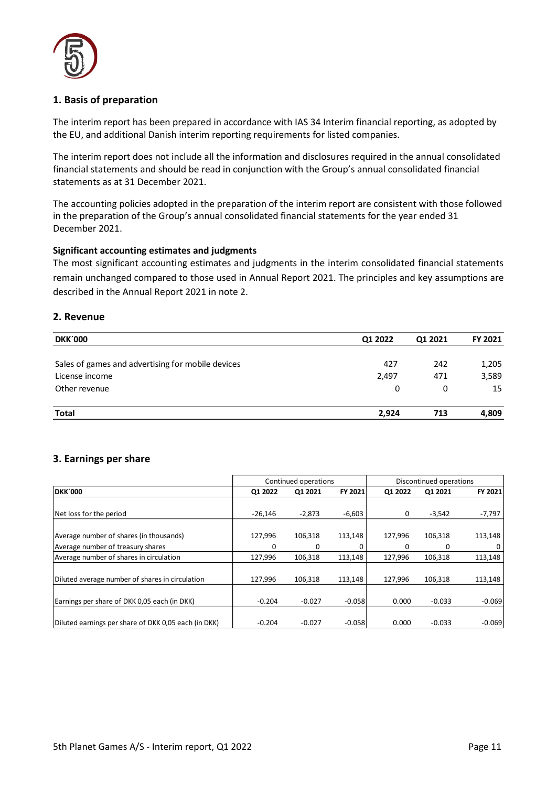

### **1. Basis of preparation**

The interim report has been prepared in accordance with IAS 34 Interim financial reporting, as adopted by the EU, and additional Danish interim reporting requirements for listed companies.

The interim report does not include all the information and disclosures required in the annual consolidated financial statements and should be read in conjunction with the Group's annual consolidated financial statements as at 31 December 2021.

The accounting policies adopted in the preparation of the interim report are consistent with those followed in the preparation of the Group's annual consolidated financial statements for the year ended 31 December 2021.

#### **Significant accounting estimates and judgments**

The most significant accounting estimates and judgments in the interim consolidated financial statements remain unchanged compared to those used in Annual Report 2021. The principles and key assumptions are described in the Annual Report 2021 in note 2.

#### **2. Revenue**

| <b>DKK'000</b>                                    | Q1 2022 | Q1 2021 | <b>FY 2021</b> |
|---------------------------------------------------|---------|---------|----------------|
|                                                   |         |         |                |
| Sales of games and advertising for mobile devices | 427     | 242     | 1,205          |
| License income                                    | 2,497   | 471     | 3,589          |
| Other revenue                                     | 0       | 0       | 15             |
| <b>Total</b>                                      | 2.924   | 713     | 4,809          |

### **3. Earnings per share**

|                                                      | Continued operations |          |          | Discontinued operations |          |          |
|------------------------------------------------------|----------------------|----------|----------|-------------------------|----------|----------|
| <b>DKK'000</b>                                       | Q1 2022              | Q1 2021  | FY 2021  | Q1 2022                 | Q1 2021  | FY 2021  |
|                                                      |                      |          |          |                         |          |          |
| Net loss for the period                              | $-26.146$            | $-2,873$ | $-6,603$ | 0                       | $-3,542$ | -7,797   |
|                                                      |                      |          |          |                         |          |          |
| Average number of shares (in thousands)              | 127.996              | 106,318  | 113,148  | 127.996                 | 106,318  | 113,148  |
| Average number of treasury shares                    | 0                    | 0        | 0        | 0                       | 0        | 0        |
| Average number of shares in circulation              | 127,996              | 106,318  | 113,148  | 127,996                 | 106,318  | 113,148  |
|                                                      |                      |          |          |                         |          |          |
| Diluted average number of shares in circulation      | 127.996              | 106.318  | 113.148  | 127.996                 | 106.318  | 113,148  |
|                                                      |                      |          |          |                         |          |          |
| Earnings per share of DKK 0,05 each (in DKK)         | $-0.204$             | $-0.027$ | $-0.058$ | 0.000                   | $-0.033$ | $-0.069$ |
|                                                      |                      |          |          |                         |          |          |
| Diluted earnings per share of DKK 0,05 each (in DKK) | $-0.204$             | $-0.027$ | $-0.058$ | 0.000                   | $-0.033$ | $-0.069$ |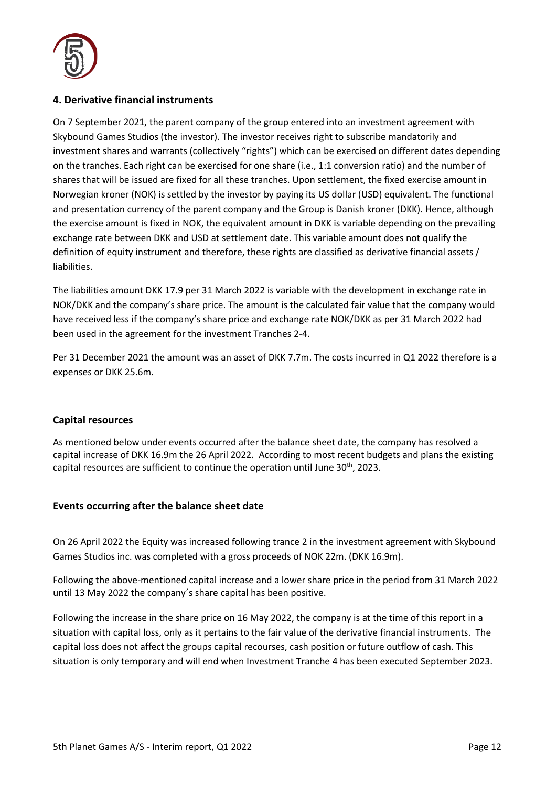

### **4. Derivative financial instruments**

On 7 September 2021, the parent company of the group entered into an investment agreement with Skybound Games Studios (the investor). The investor receives right to subscribe mandatorily and investment shares and warrants (collectively "rights") which can be exercised on different dates depending on the tranches. Each right can be exercised for one share (i.e., 1:1 conversion ratio) and the number of shares that will be issued are fixed for all these tranches. Upon settlement, the fixed exercise amount in Norwegian kroner (NOK) is settled by the investor by paying its US dollar (USD) equivalent. The functional and presentation currency of the parent company and the Group is Danish kroner (DKK). Hence, although the exercise amount is fixed in NOK, the equivalent amount in DKK is variable depending on the prevailing exchange rate between DKK and USD at settlement date. This variable amount does not qualify the definition of equity instrument and therefore, these rights are classified as derivative financial assets / liabilities.

The liabilities amount DKK 17.9 per 31 March 2022 is variable with the development in exchange rate in NOK/DKK and the company's share price. The amount is the calculated fair value that the company would have received less if the company's share price and exchange rate NOK/DKK as per 31 March 2022 had been used in the agreement for the investment Tranches 2-4.

Per 31 December 2021 the amount was an asset of DKK 7.7m. The costs incurred in Q1 2022 therefore is a expenses or DKK 25.6m.

### **Capital resources**

As mentioned below under events occurred after the balance sheet date, the company has resolved a capital increase of DKK 16.9m the 26 April 2022. According to most recent budgets and plans the existing capital resources are sufficient to continue the operation until June  $30<sup>th</sup>$ , 2023.

### **Events occurring after the balance sheet date**

On 26 April 2022 the Equity was increased following trance 2 in the investment agreement with Skybound Games Studios inc. was completed with a gross proceeds of NOK 22m. (DKK 16.9m).

Following the above-mentioned capital increase and a lower share price in the period from 31 March 2022 until 13 May 2022 the company´s share capital has been positive.

Following the increase in the share price on 16 May 2022, the company is at the time of this report in a situation with capital loss, only as it pertains to the fair value of the derivative financial instruments. The capital loss does not affect the groups capital recourses, cash position or future outflow of cash. This situation is only temporary and will end when Investment Tranche 4 has been executed September 2023.